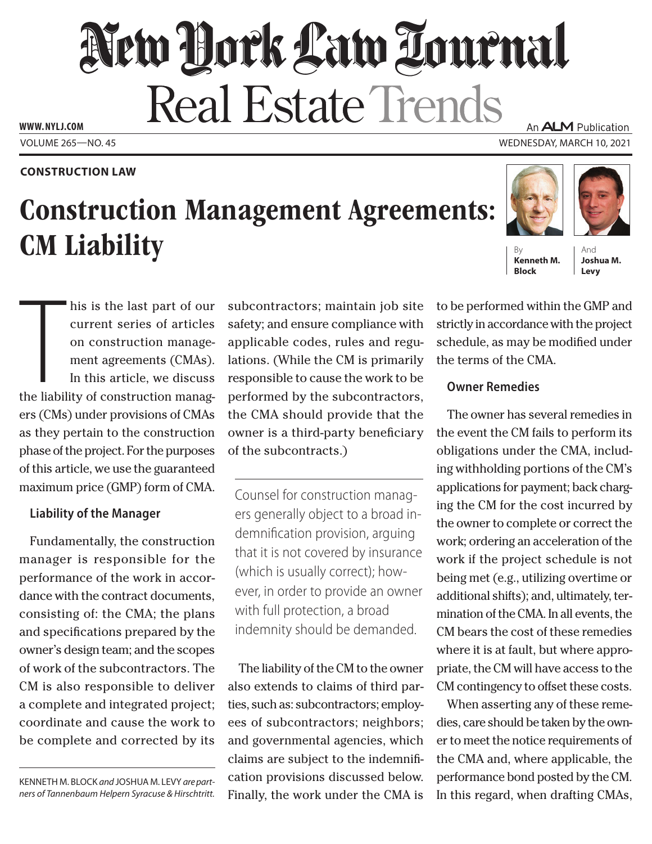# New Hork Law Tournal Real Estate Trends **WWW. NYLJ.COM** An **ALM** Publication

VOLUME 265—NO. 45 WEDNESDAY, MARCH 10, 2021

### **CONSTRUCTION LAW**

# Construction Management Agreements: **CM** Liability

his is the last part of our<br>current series of articles<br>on construction manage-<br>ment agreements (CMAs).<br>In this article, we discuss<br>the liability of construction managhis is the last part of our current series of articles on construction management agreements (CMAs). In this article, we discuss ers (CMs) under provisions of CMAs as they pertain to the construction phase of the project. For the purposes of this article, we use the guaranteed maximum price (GMP) form of CMA.

# **Liability of the Manager**

Fundamentally, the construction manager is responsible for the performance of the work in accordance with the contract documents, consisting of: the CMA; the plans and specifications prepared by the owner's design team; and the scopes of work of the subcontractors. The CM is also responsible to deliver a complete and integrated project; coordinate and cause the work to be complete and corrected by its

KENNETH M. BLOCK *and* JOSHUA M. LEVY *are partners of Tannenbaum Helpern Syracuse & Hirschtritt.* subcontractors; maintain job site safety; and ensure compliance with applicable codes, rules and regulations. (While the CM is primarily responsible to cause the work to be performed by the subcontractors, the CMA should provide that the owner is a third-party beneficiary of the subcontracts.)

Counsel for construction managers generally object to a broad indemnification provision, arguing that it is not covered by insurance (which is usually correct); however, in order to provide an owner with full protection, a broad indemnity should be demanded.

The liability of the CM to the owner also extends to claims of third parties, such as: subcontractors; employees of subcontractors; neighbors; and governmental agencies, which claims are subject to the indemnification provisions discussed below. Finally, the work under the CMA is

to be performed within the GMP and strictly in accordance with the project schedule, as may be modified under the terms of the CMA.

**Kenneth M. Block**

# **Owner Remedies**

The owner has several remedies in the event the CM fails to perform its obligations under the CMA, including withholding portions of the CM's applications for payment; back charging the CM for the cost incurred by the owner to complete or correct the work; ordering an acceleration of the work if the project schedule is not being met (e.g., utilizing overtime or additional shifts); and, ultimately, termination of the CMA. In all events, the CM bears the cost of these remedies where it is at fault, but where appropriate, the CM will have access to the CM contingency to offset these costs.

When asserting any of these remedies, care should be taken by the owner to meet the notice requirements of the CMA and, where applicable, the performance bond posted by the CM. In this regard, when drafting CMAs,





And **Joshua M. Levy**